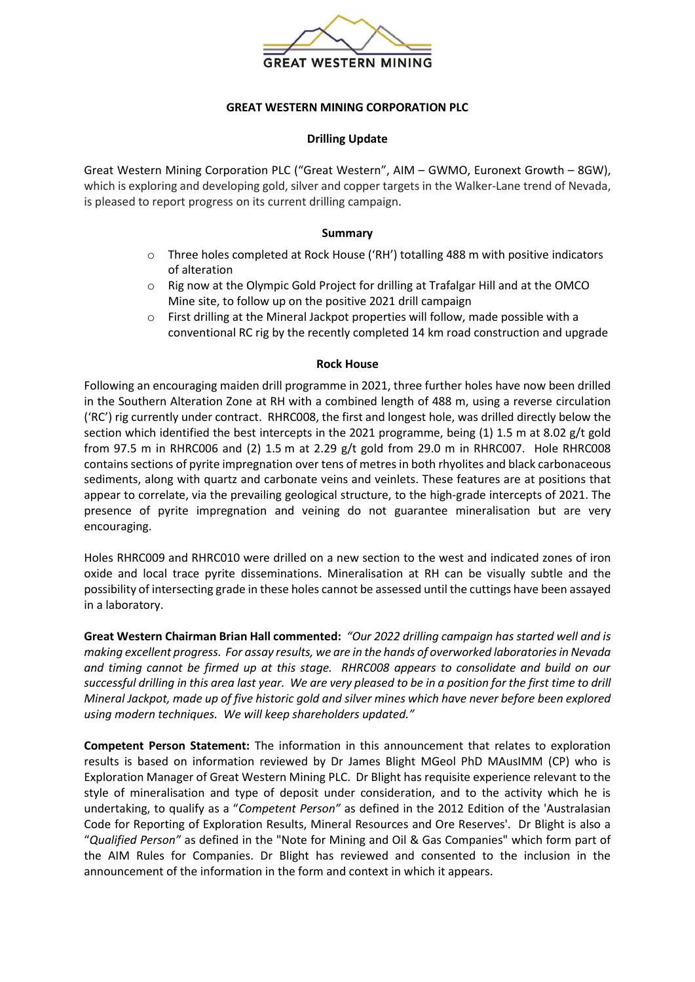

# **GREAT WESTERN MINING CORPORATION PLC**

## **Drilling Update**

Great Western Mining Corporation PLC ("Great Western", AIM – GWMO, Euronext Growth – 8GW), which is exploring and developing gold, silver and copper targets in the Walker-Lane trend of Nevada, is pleased to report progress on its current drilling campaign.

## **Summary**

- $\circ$  Three holes completed at Rock House ('RH') totalling 488 m with positive indicators of alteration
- o Rig now at the Olympic Gold Project for drilling at Trafalgar Hill and at the OMCO Mine site, to follow up on the positive 2021 drill campaign
- $\circ$  First drilling at the Mineral Jackpot properties will follow, made possible with a conventional RC rig by the recently completed 14 km road construction and upgrade

#### **Rock House**

Following an encouraging maiden drill programme in 2021, three further holes have now been drilled in the Southern Alteration Zone at RH with a combined length of 488 m, using a reverse circulation ('RC') rig currently under contract. RHRC008, the first and longest hole, was drilled directly below the section which identified the best intercepts in the 2021 programme, being (1) 1.5 m at 8.02  $g/t$  gold from 97.5 m in RHRC006 and (2) 1.5 m at 2.29 g/t gold from 29.0 m in RHRC007. Hole RHRC008 contains sections of pyrite impregnation over tens of metres in both rhyolites and black carbonaceous sediments, along with quartz and carbonate veins and veinlets. These features are at positions that appear to correlate, via the prevailing geological structure, to the high-grade intercepts of 2021. The presence of pyrite impregnation and veining do not guarantee mineralisation but are very encouraging.

Holes RHRC009 and RHRC010 were drilled on a new section to the west and indicated zones of iron oxide and local trace pyrite disseminations. Mineralisation at RH can be visually subtle and the possibility of intersecting grade in these holes cannot be assessed until the cuttings have been assayed in a laboratory.

**Great Western Chairman Brian Hall commented:** *"Our 2022 drilling campaign has started well and is making excellent progress. For assay results, we are in the hands of overworked laboratories in Nevada and timing cannot be firmed up at this stage. RHRC008 appears to consolidate and build on our successful drilling in this area last year. We are very pleased to be in a position for the first time to drill Mineral Jackpot, made up of five historic gold and silver mines which have never before been explored using modern techniques. We will keep shareholders updated."*

**Competent Person Statement:** The information in this announcement that relates to exploration results is based on information reviewed by Dr James Blight MGeol PhD MAusIMM (CP) who is Exploration Manager of Great Western Mining PLC. Dr Blight has requisite experience relevant to the style of mineralisation and type of deposit under consideration, and to the activity which he is undertaking, to qualify as a "*Competent Person"* as defined in the 2012 Edition of the 'Australasian Code for Reporting of Exploration Results, Mineral Resources and Ore Reserves'. Dr Blight is also a "*Qualified Person"* as defined in the "Note for Mining and Oil & Gas Companies" which form part of the AIM Rules for Companies. Dr Blight has reviewed and consented to the inclusion in the announcement of the information in the form and context in which it appears.